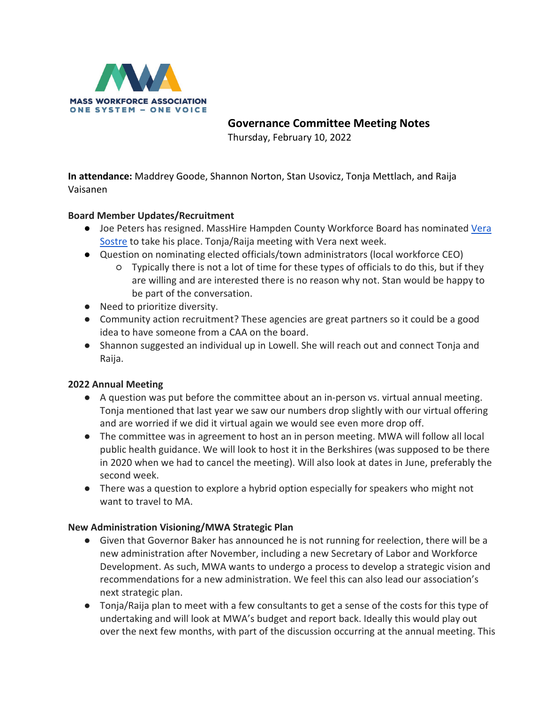

 **Governance Committee Meeting Notes**

Thursday, February 10, 2022

**In attendance:** Maddrey Goode, Shannon Norton, Stan Usovicz, Tonja Mettlach, and Raija Vaisanen

# **Board Member Updates/Recruitment**

- Joe Peters has resigned. MassHire Hampden County Workforce Board has nominated Vera [Sostre](https://www.linkedin.com/in/vera-sostre-1773b61a/) to take his place. Tonja/Raija meeting with Vera next week.
- Question on nominating elected officials/town administrators (local workforce CEO)
	- Typically there is not a lot of time for these types of officials to do this, but if they are willing and are interested there is no reason why not. Stan would be happy to be part of the conversation.
- Need to prioritize diversity.
- Community action recruitment? These agencies are great partners so it could be a good idea to have someone from a CAA on the board.
- Shannon suggested an individual up in Lowell. She will reach out and connect Tonja and Raija.

# **2022 Annual Meeting**

- A question was put before the committee about an in-person vs. virtual annual meeting. Tonja mentioned that last year we saw our numbers drop slightly with our virtual offering and are worried if we did it virtual again we would see even more drop off.
- The committee was in agreement to host an in person meeting. MWA will follow all local public health guidance. We will look to host it in the Berkshires (was supposed to be there in 2020 when we had to cancel the meeting). Will also look at dates in June, preferably the second week.
- There was a question to explore a hybrid option especially for speakers who might not want to travel to MA.

# **New Administration Visioning/MWA Strategic Plan**

- Given that Governor Baker has announced he is not running for reelection, there will be a new administration after November, including a new Secretary of Labor and Workforce Development. As such, MWA wants to undergo a process to develop a strategic vision and recommendations for a new administration. We feel this can also lead our association's next strategic plan.
- Tonja/Raija plan to meet with a few consultants to get a sense of the costs for this type of undertaking and will look at MWA's budget and report back. Ideally this would play out over the next few months, with part of the discussion occurring at the annual meeting. This